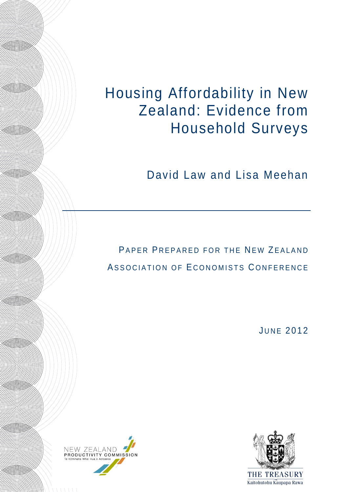Housing Affordability in New Zealand: Evidence from Household Surveys

David Law and Lisa Meehan

PAPER PREPARED FOR THE NEW ZEALAND ASSOCIATION OF ECONOMISTS CONFERENCE

**JUNE 2012** 



 $111111$ 

**Allian Communication** 

**Allian Communication** 

**MAGES STARTED START START START START START START START START START START START START START START START START** 

**Allian Communication** 

**Allian Communication** 

HHO MINI

**Allian Communication** 

**Allian Communication** 

HH((S))))

**Allian Simm** 

**Allian Communication** 

HHAZI NAMAN

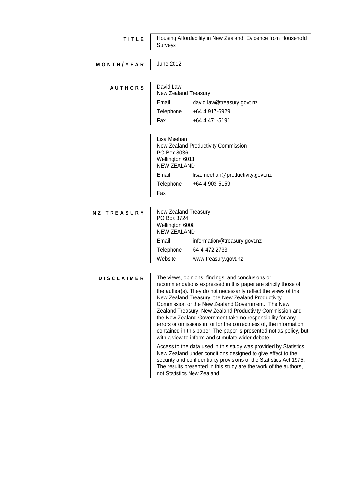| TITLE              | Housing Affordability in New Zealand: Evidence from Household<br>Surveys                                   |                                                                                                                                                                                                                                                                                                                                                                                                                                                                                                                                                                                                                                                                                                                                                                                                                                                                                                                                          |  |  |  |  |
|--------------------|------------------------------------------------------------------------------------------------------------|------------------------------------------------------------------------------------------------------------------------------------------------------------------------------------------------------------------------------------------------------------------------------------------------------------------------------------------------------------------------------------------------------------------------------------------------------------------------------------------------------------------------------------------------------------------------------------------------------------------------------------------------------------------------------------------------------------------------------------------------------------------------------------------------------------------------------------------------------------------------------------------------------------------------------------------|--|--|--|--|
| MONTH/YEAR         | <b>June 2012</b>                                                                                           |                                                                                                                                                                                                                                                                                                                                                                                                                                                                                                                                                                                                                                                                                                                                                                                                                                                                                                                                          |  |  |  |  |
| <b>AUTHORS</b>     | David Law<br>New Zealand Treasury                                                                          |                                                                                                                                                                                                                                                                                                                                                                                                                                                                                                                                                                                                                                                                                                                                                                                                                                                                                                                                          |  |  |  |  |
|                    | Email                                                                                                      | david.law@treasury.govt.nz                                                                                                                                                                                                                                                                                                                                                                                                                                                                                                                                                                                                                                                                                                                                                                                                                                                                                                               |  |  |  |  |
|                    |                                                                                                            | Telephone<br>+64 4 917-6929                                                                                                                                                                                                                                                                                                                                                                                                                                                                                                                                                                                                                                                                                                                                                                                                                                                                                                              |  |  |  |  |
|                    | Fax                                                                                                        | +64 4 471-5191                                                                                                                                                                                                                                                                                                                                                                                                                                                                                                                                                                                                                                                                                                                                                                                                                                                                                                                           |  |  |  |  |
|                    | Lisa Meehan<br>New Zealand Productivity Commission<br>PO Box 8036<br>Wellington 6011<br><b>NEW ZEALAND</b> |                                                                                                                                                                                                                                                                                                                                                                                                                                                                                                                                                                                                                                                                                                                                                                                                                                                                                                                                          |  |  |  |  |
|                    | Email                                                                                                      | lisa.meehan@productivity.govt.nz                                                                                                                                                                                                                                                                                                                                                                                                                                                                                                                                                                                                                                                                                                                                                                                                                                                                                                         |  |  |  |  |
|                    | Telephone                                                                                                  | +64 4 903-5159                                                                                                                                                                                                                                                                                                                                                                                                                                                                                                                                                                                                                                                                                                                                                                                                                                                                                                                           |  |  |  |  |
|                    | Fax                                                                                                        |                                                                                                                                                                                                                                                                                                                                                                                                                                                                                                                                                                                                                                                                                                                                                                                                                                                                                                                                          |  |  |  |  |
|                    |                                                                                                            |                                                                                                                                                                                                                                                                                                                                                                                                                                                                                                                                                                                                                                                                                                                                                                                                                                                                                                                                          |  |  |  |  |
| <b>NZ TREASURY</b> | New Zealand Treasury<br>PO Box 3724<br>Wellington 6008<br><b>NEW ZEALAND</b>                               |                                                                                                                                                                                                                                                                                                                                                                                                                                                                                                                                                                                                                                                                                                                                                                                                                                                                                                                                          |  |  |  |  |
|                    | Email<br>information@treasury.govt.nz                                                                      |                                                                                                                                                                                                                                                                                                                                                                                                                                                                                                                                                                                                                                                                                                                                                                                                                                                                                                                                          |  |  |  |  |
|                    | Telephone                                                                                                  | 64-4-472 2733                                                                                                                                                                                                                                                                                                                                                                                                                                                                                                                                                                                                                                                                                                                                                                                                                                                                                                                            |  |  |  |  |
|                    | Website                                                                                                    | www.treasury.govt.nz                                                                                                                                                                                                                                                                                                                                                                                                                                                                                                                                                                                                                                                                                                                                                                                                                                                                                                                     |  |  |  |  |
| <b>DISCLAIMER</b>  |                                                                                                            | The views, opinions, findings, and conclusions or<br>recommendations expressed in this paper are strictly those of<br>the author(s). They do not necessarily reflect the views of the<br>New Zealand Treasury, the New Zealand Productivity<br>Commission or the New Zealand Government. The New<br>Zealand Treasury, New Zealand Productivity Commission and<br>the New Zealand Government take no responsibility for any<br>errors or omissions in, or for the correctness of, the information<br>contained in this paper. The paper is presented not as policy, but<br>with a view to inform and stimulate wider debate.<br>Access to the data used in this study was provided by Statistics<br>New Zealand under conditions designed to give effect to the<br>security and confidentiality provisions of the Statistics Act 1975.<br>The results presented in this study are the work of the authors,<br>not Statistics New Zealand. |  |  |  |  |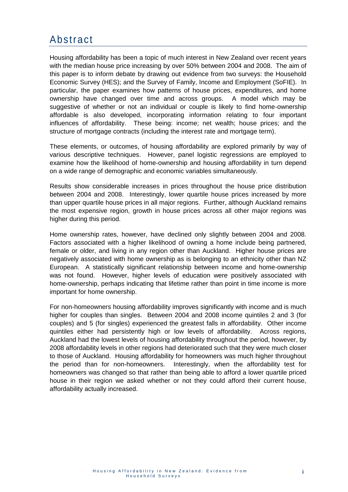### Abstract

Housing affordability has been a topic of much interest in New Zealand over recent years with the median house price increasing by over 50% between 2004 and 2008. The aim of this paper is to inform debate by drawing out evidence from two surveys: the Household Economic Survey (HES); and the Survey of Family, Income and Employment (SoFIE). In particular, the paper examines how patterns of house prices, expenditures, and home ownership have changed over time and across groups. A model which may be suggestive of whether or not an individual or couple is likely to find home-ownership affordable is also developed, incorporating information relating to four important influences of affordability. These being: income; net wealth; house prices; and the structure of mortgage contracts (including the interest rate and mortgage term).

These elements, or outcomes, of housing affordability are explored primarily by way of various descriptive techniques. However, panel logistic regressions are employed to examine how the likelihood of home-ownership and housing affordability in turn depend on a wide range of demographic and economic variables simultaneously.

Results show considerable increases in prices throughout the house price distribution between 2004 and 2008. Interestingly, lower quartile house prices increased by more than upper quartile house prices in all major regions. Further, although Auckland remains the most expensive region, growth in house prices across all other major regions was higher during this period.

Home ownership rates, however, have declined only slightly between 2004 and 2008. Factors associated with a higher likelihood of owning a home include being partnered, female or older, and living in any region other than Auckland. Higher house prices are negatively associated with home ownership as is belonging to an ethnicity other than NZ European. A statistically significant relationship between income and home-ownership was not found. However, higher levels of education were positively associated with home-ownership, perhaps indicating that lifetime rather than point in time income is more important for home ownership.

For non-homeowners housing affordability improves significantly with income and is much higher for couples than singles. Between 2004 and 2008 income quintiles 2 and 3 (for couples) and 5 (for singles) experienced the greatest falls in affordability. Other income quintiles either had persistently high or low levels of affordability. Across regions, Auckland had the lowest levels of housing affordability throughout the period, however, by 2008 affordability levels in other regions had deteriorated such that they were much closer to those of Auckland. Housing affordability for homeowners was much higher throughout the period than for non-homeowners. Interestingly, when the affordability test for homeowners was changed so that rather than being able to afford a lower quartile priced house in their region we asked whether or not they could afford their current house, affordability actually increased.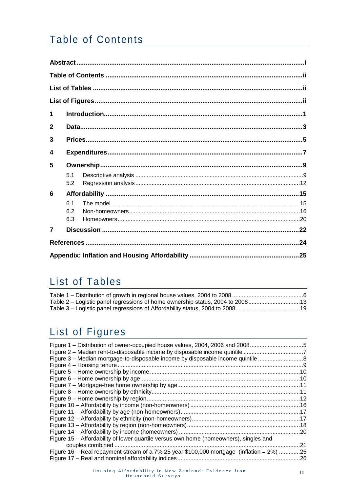## **Table of Contents**

| $\mathbf 1$    |     |  |  |  |
|----------------|-----|--|--|--|
| $\mathbf{2}$   |     |  |  |  |
| 3              |     |  |  |  |
| 4              |     |  |  |  |
| 5              |     |  |  |  |
|                | 5.1 |  |  |  |
|                | 5.2 |  |  |  |
| 6              |     |  |  |  |
|                | 6.1 |  |  |  |
|                | 6.2 |  |  |  |
|                | 6.3 |  |  |  |
| $\overline{7}$ |     |  |  |  |
|                |     |  |  |  |
|                |     |  |  |  |

## List of Tables

## List of Figures

| Figure 1 – Distribution of owner-occupied house values, 2004, 2006 and 20085             |     |
|------------------------------------------------------------------------------------------|-----|
|                                                                                          |     |
| Figure 3 – Median mortgage-to-disposable income by disposable income quintile            |     |
|                                                                                          |     |
|                                                                                          |     |
|                                                                                          |     |
|                                                                                          |     |
|                                                                                          |     |
|                                                                                          |     |
|                                                                                          |     |
|                                                                                          |     |
|                                                                                          |     |
|                                                                                          |     |
|                                                                                          |     |
| Figure 15 – Affordability of lower quartile versus own home (homeowners), singles and    |     |
|                                                                                          | .21 |
| Figure 16 – Real repayment stream of a 7% 25 year \$100,000 mortgage (inflation = 2%) 25 |     |
|                                                                                          |     |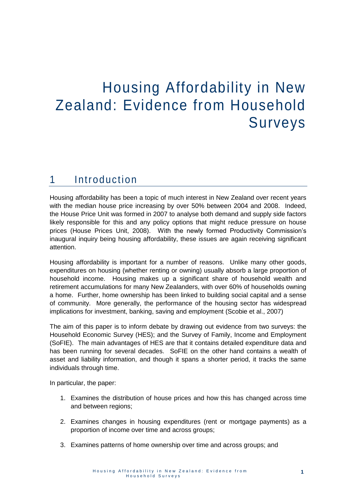# Housing Affordability in New Zealand: Evidence from Household Surveys

### 1 Introduction

Housing affordability has been a topic of much interest in New Zealand over recent years with the median house price increasing by over 50% between 2004 and 2008. Indeed, the House Price Unit was formed in 2007 to analyse both demand and supply side factors likely responsible for this and any policy options that might reduce pressure on house prices (House Prices Unit, 2008). With the newly formed Productivity Commission's inaugural inquiry being housing affordability, these issues are again receiving significant attention.

Housing affordability is important for a number of reasons. Unlike many other goods, expenditures on housing (whether renting or owning) usually absorb a large proportion of household income. Housing makes up a significant share of household wealth and retirement accumulations for many New Zealanders, with over 60% of households owning a home. Further, home ownership has been linked to building social capital and a sense of community. More generally, the performance of the housing sector has widespread implications for investment, banking, saving and employment (Scobie et al., 2007)

The aim of this paper is to inform debate by drawing out evidence from two surveys: the Household Economic Survey (HES); and the Survey of Family, Income and Employment (SoFIE). The main advantages of HES are that it contains detailed expenditure data and has been running for several decades. SoFIE on the other hand contains a wealth of asset and liability information, and though it spans a shorter period, it tracks the same individuals through time.

In particular, the paper:

- 1. Examines the distribution of house prices and how this has changed across time and between regions;
- 2. Examines changes in housing expenditures (rent or mortgage payments) as a proportion of income over time and across groups;
- 3. Examines patterns of home ownership over time and across groups; and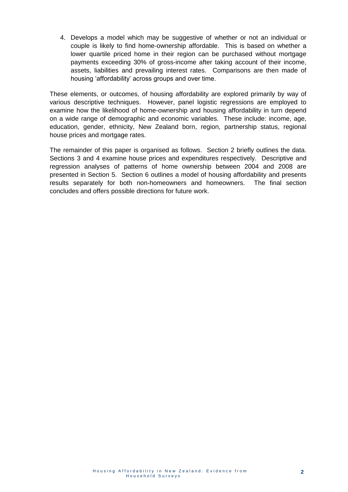4. Develops a model which may be suggestive of whether or not an individual or couple is likely to find home-ownership affordable. This is based on whether a lower quartile priced home in their region can be purchased without mortgage payments exceeding 30% of gross-income after taking account of their income, assets, liabilities and prevailing interest rates. Comparisons are then made of housing 'affordability' across groups and over time.

These elements, or outcomes, of housing affordability are explored primarily by way of various descriptive techniques. However, panel logistic regressions are employed to examine how the likelihood of home-ownership and housing affordability in turn depend on a wide range of demographic and economic variables. These include: income, age, education, gender, ethnicity, New Zealand born, region, partnership status, regional house prices and mortgage rates.

The remainder of this paper is organised as follows. Section 2 briefly outlines the data. Sections 3 and 4 examine house prices and expenditures respectively. Descriptive and regression analyses of patterns of home ownership between 2004 and 2008 are presented in Section 5. Section 6 outlines a model of housing affordability and presents results separately for both non-homeowners and homeowners. The final section concludes and offers possible directions for future work.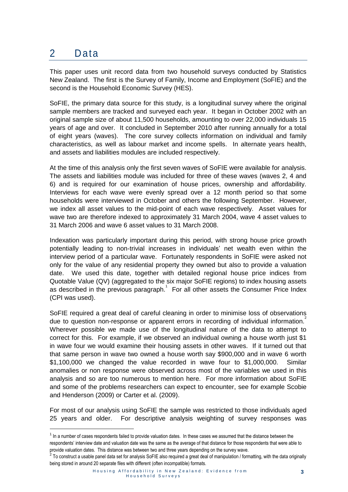## 2 Data

1

This paper uses unit record data from two household surveys conducted by Statistics New Zealand. The first is the Survey of Family, Income and Employment (SoFIE) and the second is the Household Economic Survey (HES).

SoFIE, the primary data source for this study, is a longitudinal survey where the original sample members are tracked and surveyed each year. It began in October 2002 with an original sample size of about 11,500 households, amounting to over 22,000 individuals 15 years of age and over. It concluded in September 2010 after running annually for a total of eight years (waves). The core survey collects information on individual and family characteristics, as well as labour market and income spells. In alternate years health, and assets and liabilities modules are included respectively.

At the time of this analysis only the first seven waves of SoFIE were available for analysis. The assets and liabilities module was included for three of these waves (waves 2, 4 and 6) and is required for our examination of house prices, ownership and affordability. Interviews for each wave were evenly spread over a 12 month period so that some households were interviewed in October and others the following September. However, we index all asset values to the mid-point of each wave respectively. Asset values for wave two are therefore indexed to approximately 31 March 2004, wave 4 asset values to 31 March 2006 and wave 6 asset values to 31 March 2008.

Indexation was particularly important during this period, with strong house price growth potentially leading to non-trivial increases in individuals' net wealth even within the interview period of a particular wave. Fortunately respondents in SoFIE were asked not only for the value of any residential property they owned but also to provide a valuation date. We used this date, together with detailed regional house price indices from Quotable Value (QV) (aggregated to the six major SoFIE regions) to index housing assets as described in the previous paragraph.<sup>1</sup> For all other assets the Consumer Price Index (CPI was used).

SoFIE required a great deal of careful cleaning in order to minimise loss of observations due to question non-response or apparent errors in recording of individual information. $2$ Wherever possible we made use of the longitudinal nature of the data to attempt to correct for this. For example, if we observed an individual owning a house worth just \$1 in wave four we would examine their housing assets in other waves. If it turned out that that same person in wave two owned a house worth say \$900,000 and in wave 6 worth \$1,100,000 we changed the value recorded in wave four to \$1,000,000. Similar anomalies or non response were observed across most of the variables we used in this analysis and so are too numerous to mention here. For more information about SoFIE and some of the problems researchers can expect to encounter, see for example Scobie and Henderson (2009) or Carter et al. (2009).

For most of our analysis using SoFIE the sample was restricted to those individuals aged 25 years and older. For descriptive analysis weighting of survey responses was

 $1$  In a number of cases respondents failed to provide valuation dates. In these cases we assumed that the distance between the respondents' interview date and valuation date was the same as the average of that distance for those respondents that were able to provide valuation dates. This distance was between two and three years depending on the survey wave.

 $^2$  To construct a usable panel data set for analysis SoFIE also required a great deal of manipulation / formatting, with the data originally being stored in around 20 separate files with different (often incompatible) formats.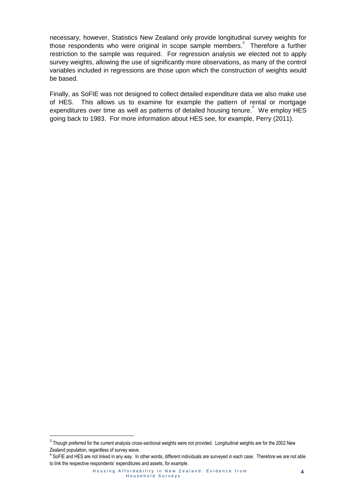necessary, however, Statistics New Zealand only provide longitudinal survey weights for those respondents who were original in scope sample members. $3\overline{ }$  Therefore a further restriction to the sample was required. For regression analysis we elected not to apply survey weights, allowing the use of significantly more observations, as many of the control variables included in regressions are those upon which the construction of weights would be based.

Finally, as SoFIE was not designed to collect detailed expenditure data we also make use of HES. This allows us to examine for example the pattern of rental or mortgage expenditures over time as well as patterns of detailed housing tenure.<sup>4</sup> We employ HES going back to 1983. For more information about HES see, for example, Perry (2011).

.

 $3$  Though preferred for the current analysis cross-sectional weights were not provided. Longitudinal weights are for the 2002 New Zealand population, regardless of survey wave.

<sup>&</sup>lt;sup>4</sup> SoFIE and HES are not linked in any way. In other words, different individuals are surveyed in each case. Therefore we are not able to link the respective respondents' expenditures and assets, for example.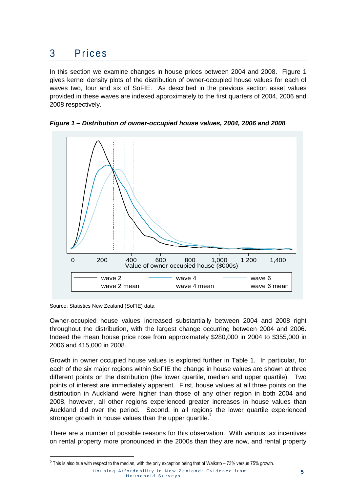## 3 Prices

In this section we examine changes in house prices between 2004 and 2008. Figure 1 gives kernel density plots of the distribution of owner-occupied house values for each of waves two, four and six of SoFIE. As described in the previous section asset values provided in these waves are indexed approximately to the first quarters of 2004, 2006 and 2008 respectively.

<span id="page-8-0"></span>



Source: Statistics New Zealand (SoFIE) data

.

Owner-occupied house values increased substantially between 2004 and 2008 right throughout the distribution, with the largest change occurring between 2004 and 2006. Indeed the mean house price rose from approximately \$280,000 in 2004 to \$355,000 in 2006 and 415,000 in 2008.

Growth in owner occupied house values is explored further in Table 1. In particular, for each of the six major regions within SoFIE the change in house values are shown at three different points on the distribution (the lower quartile, median and upper quartile). Two points of interest are immediately apparent. First, house values at all three points on the distribution in Auckland were higher than those of any other region in both 2004 and 2008, however, all other regions experienced greater increases in house values than Auckland did over the period. Second, in all regions the lower quartile experienced stronger growth in house values than the upper quartile.

There are a number of possible reasons for this observation. With various tax incentives on rental property more pronounced in the 2000s than they are now, and rental property

 $^5$  This is also true with respect to the median, with the only exception being that of Waikato – 73% versus 75% growth.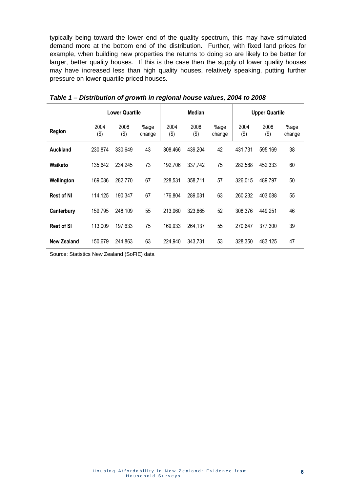typically being toward the lower end of the quality spectrum, this may have stimulated demand more at the bottom end of the distribution. Further, with fixed land prices for example, when building new properties the returns to doing so are likely to be better for larger, better quality houses. If this is the case then the supply of lower quality houses may have increased less than high quality houses, relatively speaking, putting further pressure on lower quartile priced houses.

|                    |              | <b>Lower Quartile</b> |                | <b>Median</b> |             | <b>Upper Quartile</b> |             |             |                |
|--------------------|--------------|-----------------------|----------------|---------------|-------------|-----------------------|-------------|-------------|----------------|
| Region             | 2004<br>(\$) | 2008<br>(3)           | %age<br>change | 2004<br>(3)   | 2008<br>(3) | %age<br>change        | 2004<br>(3) | 2008<br>(3) | %age<br>change |
| Auckland           | 230,874      | 330,649               | 43             | 308,466       | 439,204     | 42                    | 431,731     | 595,169     | 38             |
| Waikato            | 135,642      | 234,245               | 73             | 192,706       | 337,742     | 75                    | 282,588     | 452,333     | 60             |
| Wellington         | 169,086      | 282,770               | 67             | 228,531       | 358,711     | 57                    | 326,015     | 489,797     | 50             |
| <b>Rest of NI</b>  | 114,125      | 190,347               | 67             | 176,804       | 289,031     | 63                    | 260,232     | 403,088     | 55             |
| Canterbury         | 159,795      | 248,109               | 55             | 213,060       | 323,665     | 52                    | 308,376     | 449,251     | 46             |
| <b>Rest of SI</b>  | 113,009      | 197,633               | 75             | 169,933       | 264,137     | 55                    | 270,647     | 377.300     | 39             |
| <b>New Zealand</b> | 150,679      | 244,863               | 63             | 224,940       | 343,731     | 53                    | 328,350     | 483,125     | 47             |

<span id="page-9-0"></span>*Table 1 – Distribution of growth in regional house values, 2004 to 2008*

Source: Statistics New Zealand (SoFIE) data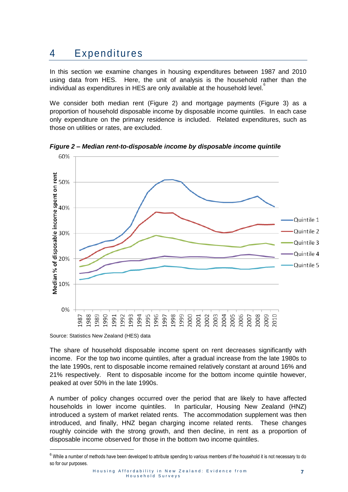## 4 Expenditures

In this section we examine changes in housing expenditures between 1987 and 2010 using data from HES. Here, the unit of analysis is the household rather than the individual as expenditures in HES are only available at the household level.<sup><sup>6</sup></sup>

We consider both median rent (Figure 2) and mortgage payments (Figure 3) as a proportion of household disposable income by disposable income quintiles. In each case only expenditure on the primary residence is included. Related expenditures, such as those on utilities or rates, are excluded.



<span id="page-10-0"></span>*Figure 2 – Median rent-to-disposable income by disposable income quintile*

Source: Statistics New Zealand (HES) data

1

The share of household disposable income spent on rent decreases significantly with income. For the top two income quintiles, after a gradual increase from the late 1980s to the late 1990s, rent to disposable income remained relatively constant at around 16% and 21% respectively. Rent to disposable income for the bottom income quintile however, peaked at over 50% in the late 1990s.

A number of policy changes occurred over the period that are likely to have affected households in lower income quintiles. In particular, Housing New Zealand (HNZ) introduced a system of market related rents. The accommodation supplement was then introduced, and finally, HNZ began charging income related rents. These changes roughly coincide with the strong growth, and then decline, in rent as a proportion of disposable income observed for those in the bottom two income quintiles.

 $6$  While a number of methods have been developed to attribute spending to various members of the household it is not necessary to do so for our purposes.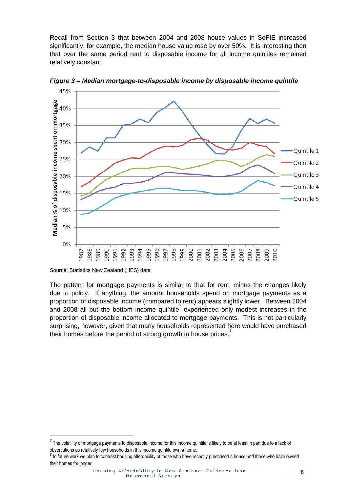Recall from Section 3 that between 2004 and 2008 house values in SoFIE increased significantly, for example, the median house value rose by over 50%. It is interesting then that over the same period rent to disposable income for all income quintiles remained relatively constant.



<span id="page-11-0"></span>*Figure 3 – Median mortgage-to-disposable income by disposable income quintile*

Source: Statistics New Zealand (HES) data

.

The pattern for mortgage payments is similar to that for rent, minus the changes likely due to policy. If anything, the amount households spend on mortgage payments as a proportion of disposable income (compared to rent) appears slightly lower. Between 2004 and 2008 all but the bottom income quintile experienced only modest increases in the proportion of disposable income allocated to mortgage payments. This is not particularly surprising, however, given that many households represented here would have purchased their homes before the period of strong growth in house prices.

 $^7$  The volatility of mortgage payments to disposable income for this income quintile is likely to be at least in part due to a lack of observations as relatively few households in this income quintile own a home.

<sup>&</sup>lt;sup>8</sup> In future work we plan to contrast housing affordability of those who have recently purchased a house and those who have owned their homes for longer.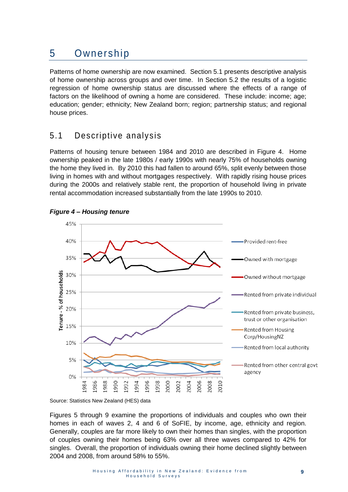## 5 Ownership

Patterns of home ownership are now examined. Section 5.1 presents descriptive analysis of home ownership across groups and over time. In Section 5.2 the results of a logistic regression of home ownership status are discussed where the effects of a range of factors on the likelihood of owning a home are considered. These include: income; age; education; gender; ethnicity; New Zealand born; region; partnership status; and regional house prices.

### 5.1 Descriptive analysis

Patterns of housing tenure between 1984 and 2010 are described in Figure 4. Home ownership peaked in the late 1980s / early 1990s with nearly 75% of households owning the home they lived in. By 2010 this had fallen to around 65%, split evenly between those living in homes with and without mortgages respectively. With rapidly rising house prices during the 2000s and relatively stable rent, the proportion of household living in private rental accommodation increased substantially from the late 1990s to 2010.



#### <span id="page-12-0"></span>*Figure 4 – Housing tenure*

Source: Statistics New Zealand (HES) data

Figures 5 through 9 examine the proportions of individuals and couples who own their homes in each of waves 2, 4 and 6 of SoFIE, by income, age, ethnicity and region. Generally, couples are far more likely to own their homes than singles, with the proportion of couples owning their homes being 63% over all three waves compared to 42% for singles. Overall, the proportion of individuals owning their home declined slightly between 2004 and 2008, from around 58% to 55%.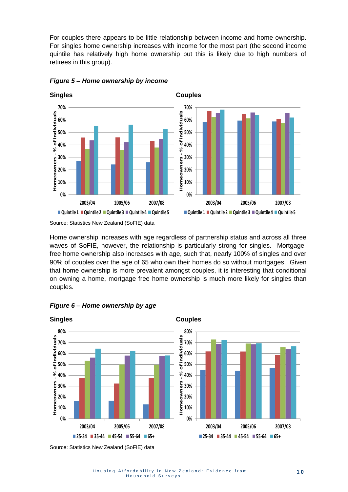For couples there appears to be little relationship between income and home ownership. For singles home ownership increases with income for the most part (the second income quintile has relatively high home ownership but this is likely due to high numbers of retirees in this group).



<span id="page-13-0"></span>*Figure 5 – Home ownership by income*

Source: Statistics New Zealand (SoFIE) data

Home ownership increases with age regardless of partnership status and across all three waves of SoFIE, however, the relationship is particularly strong for singles. Mortgagefree home ownership also increases with age, such that, nearly 100% of singles and over 90% of couples over the age of 65 who own their homes do so without mortgages. Given that home ownership is more prevalent amongst couples, it is interesting that conditional on owning a home, mortgage free home ownership is much more likely for singles than couples.



<span id="page-13-1"></span>

Source: Statistics New Zealand (SoFIE) data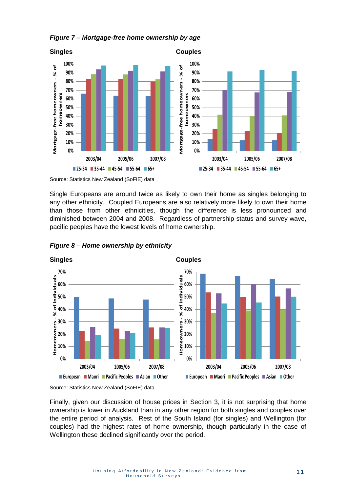<span id="page-14-0"></span>



Source: Statistics New Zealand (SoFIE) data

Single Europeans are around twice as likely to own their home as singles belonging to any other ethnicity. Coupled Europeans are also relatively more likely to own their home than those from other ethnicities, though the difference is less pronounced and diminished between 2004 and 2008. Regardless of partnership status and survey wave, pacific peoples have the lowest levels of home ownership.



<span id="page-14-1"></span>*Figure 8 – Home ownership by ethnicity*

Source: Statistics New Zealand (SoFIE) data

Finally, given our discussion of house prices in Section 3, it is not surprising that home ownership is lower in Auckland than in any other region for both singles and couples over the entire period of analysis. Rest of the South Island (for singles) and Wellington (for couples) had the highest rates of home ownership, though particularly in the case of Wellington these declined significantly over the period.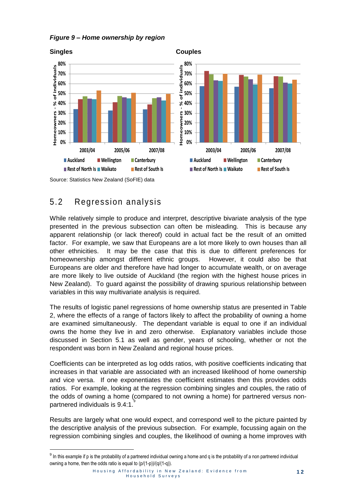<span id="page-15-0"></span>



### 5.2 Regression analysis

1

While relatively simple to produce and interpret, descriptive bivariate analysis of the type presented in the previous subsection can often be misleading. This is because any apparent relationship (or lack thereof) could in actual fact be the result of an omitted factor. For example, we saw that Europeans are a lot more likely to own houses than all other ethnicities. It may be the case that this is due to different preferences for homeownership amongst different ethnic groups. However, it could also be that Europeans are older and therefore have had longer to accumulate wealth, or on average are more likely to live outside of Auckland (the region with the highest house prices in New Zealand). To guard against the possibility of drawing spurious relationship between variables in this way multivariate analysis is required.

The results of logistic panel regressions of home ownership status are presented in Table 2, where the effects of a range of factors likely to affect the probability of owning a home are examined simultaneously. The dependant variable is equal to one if an individual owns the home they live in and zero otherwise. Explanatory variables include those discussed in Section 5.1 as well as gender, years of schooling, whether or not the respondent was born in New Zealand and regional house prices.

Coefficients can be interpreted as log odds ratios, with positive coefficients indicating that increases in that variable are associated with an increased likelihood of home ownership and vice versa. If one exponentiates the coefficient estimates then this provides odds ratios. For example, looking at the regression combining singles and couples, the ratio of the odds of owning a home (compared to not owning a home) for partnered versus nonpartnered individuals is 9.4:1.

Results are largely what one would expect, and correspond well to the picture painted by the descriptive analysis of the previous subsection. For example, focussing again on the regression combining singles and couples, the likelihood of owning a home improves with

 $9$  In this example if p is the probability of a partnered individual owning a home and q is the probability of a non partnered individual owning a home, then the odds ratio is equal to  $(p/(1-p))/(q/(1-q))$ .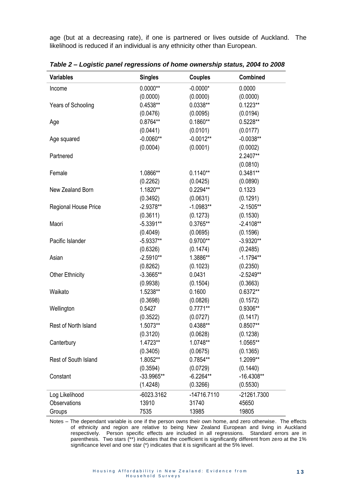age (but at a decreasing rate), if one is partnered or lives outside of Auckland. The likelihood is reduced if an individual is any ethnicity other than European.

| <b>Variables</b>            | <b>Singles</b> | <b>Couples</b> | <b>Combined</b> |
|-----------------------------|----------------|----------------|-----------------|
| Income                      | $0.0000**$     | $-0.0000*$     | 0.0000          |
|                             | (0.0000)       | (0.0000)       | (0.0000)        |
| Years of Schooling          | 0.4538**       | $0.0338**$     | $0.1223**$      |
|                             | (0.0476)       | (0.0095)       | (0.0194)        |
| Age                         | 0.8764**       | $0.1860**$     | $0.5228**$      |
|                             | (0.0441)       | (0.0101)       | (0.0177)        |
| Age squared                 | $-0.0060**$    | $-0.0012**$    | $-0.0038**$     |
|                             | (0.0004)       | (0.0001)       | (0.0002)        |
| Partnered                   |                |                | 2.2407**        |
|                             |                |                | (0.0810)        |
| Female                      | 1.0866**       | $0.1140**$     | 0.3481**        |
|                             | (0.2262)       | (0.0425)       | (0.0890)        |
| New Zealand Born            | 1.1820**       | $0.2294**$     | 0.1323          |
|                             | (0.3492)       | (0.0631)       | (0.1291)        |
| <b>Regional House Price</b> | $-2.9378**$    | $-1.0983**$    | $-2.1505**$     |
|                             | (0.3611)       | (0.1273)       | (0.1530)        |
| Maori                       | $-5.3391**$    | $0.3765***$    | $-2.4108**$     |
|                             | (0.4049)       | (0.0695)       | (0.1596)        |
| Pacific Islander            | $-5.9337**$    | $0.9700**$     | $-3.9320**$     |
|                             | (0.6326)       | (0.1474)       | (0.2485)        |
| Asian                       | $-2.5910**$    | 1.3886**       | $-1.1794**$     |
|                             | (0.8262)       | (0.1023)       | (0.2350)        |
| <b>Other Ethnicity</b>      | $-3.3665**$    | 0.0431         | $-2.5249**$     |
|                             | (0.9938)       | (0.1504)       | (0.3663)        |
| Waikato                     | 1.5238**       | 0.1600         | 0.6372**        |
|                             | (0.3698)       | (0.0826)       | (0.1572)        |
| Wellington                  | 0.5427         | $0.7771**$     | 0.9306**        |
|                             | (0.3522)       | (0.0727)       | (0.1417)        |
| Rest of North Island        | 1.5073**       | 0.4388**       | $0.8507**$      |
|                             | (0.3120)       | (0.0628)       | (0.1238)        |
| Canterbury                  | 1.4723**       | 1.0748**       | 1.0565**        |
|                             | (0.3405)       | (0.0675)       | (0.1365)        |
| Rest of South Island        | 1.8052**       | 0.7854**       | 1.2099**        |
|                             | (0.3594)       | (0.0729)       | (0.1440)        |
| Constant                    | $-33.9965**$   | $-6.2264**$    | $-16.4308**$    |
|                             | (1.4248)       | (0.3266)       | (0.5530)        |
| Log Likelihood              | $-6023.3162$   | $-14716.7110$  | -21261.7300     |
| <b>Observations</b>         | 13910          | 31740          | 45650           |
| Groups                      | 7535           | 13985          | 19805           |

<span id="page-16-0"></span>*Table 2 – Logistic panel regressions of home ownership status, 2004 to 2008*

Notes – The dependant variable is one if the person owns their own home, and zero otherwise. The effects of ethnicity and region are relative to being New Zealand European and living in Auckland respectively. Person specific effects are included in all regressions. Standard errors are in parenthesis. Two stars (\*\*) indicates that the coefficient is significantly different from zero at the 1% significance level and one star (\*) indicates that it is significant at the 5% level.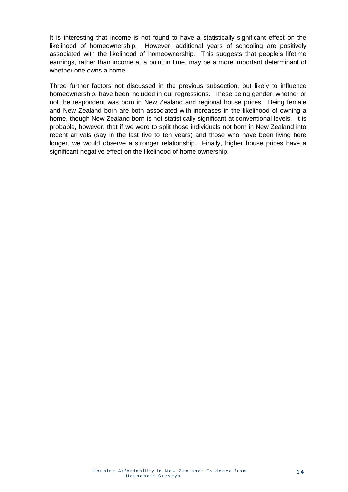It is interesting that income is not found to have a statistically significant effect on the likelihood of homeownership. However, additional years of schooling are positively associated with the likelihood of homeownership. This suggests that people's lifetime earnings, rather than income at a point in time, may be a more important determinant of whether one owns a home.

Three further factors not discussed in the previous subsection, but likely to influence homeownership, have been included in our regressions. These being gender, whether or not the respondent was born in New Zealand and regional house prices. Being female and New Zealand born are both associated with increases in the likelihood of owning a home, though New Zealand born is not statistically significant at conventional levels. It is probable, however, that if we were to split those individuals not born in New Zealand into recent arrivals (say in the last five to ten years) and those who have been living here longer, we would observe a stronger relationship. Finally, higher house prices have a significant negative effect on the likelihood of home ownership.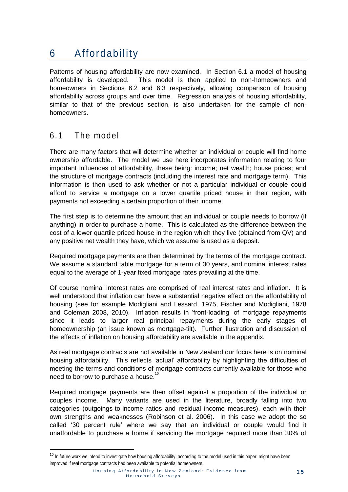## 6 Affordability

Patterns of housing affordability are now examined. In Section 6.1 a model of housing affordability is developed. This model is then applied to non-homeowners and homeowners in Sections 6.2 and 6.3 respectively, allowing comparison of housing affordability across groups and over time. Regression analysis of housing affordability, similar to that of the previous section, is also undertaken for the sample of nonhomeowners.

### 6.1 The model

1

There are many factors that will determine whether an individual or couple will find home ownership affordable. The model we use here incorporates information relating to four important influences of affordability, these being: income; net wealth; house prices; and the structure of mortgage contracts (including the interest rate and mortgage term). This information is then used to ask whether or not a particular individual or couple could afford to service a mortgage on a lower quartile priced house in their region, with payments not exceeding a certain proportion of their income.

The first step is to determine the amount that an individual or couple needs to borrow (if anything) in order to purchase a home. This is calculated as the difference between the cost of a lower quartile priced house in the region which they live (obtained from QV) and any positive net wealth they have, which we assume is used as a deposit.

Required mortgage payments are then determined by the terms of the mortgage contract. We assume a standard table mortgage for a term of 30 years, and nominal interest rates equal to the average of 1-year fixed mortgage rates prevailing at the time.

Of course nominal interest rates are comprised of real interest rates and inflation. It is well understood that inflation can have a substantial negative effect on the affordability of housing (see for example Modigliani and Lessard, 1975, Fischer and Modigliani, 1978 and Coleman 2008, 2010). Inflation results in 'front-loading' of mortgage repayments since it leads to larger real principal repayments during the early stages of homeownership (an issue known as mortgage-tilt). Further illustration and discussion of the effects of inflation on housing affordability are available in the appendix.

As real mortgage contracts are not available in New Zealand our focus here is on nominal housing affordability. This reflects 'actual' affordability by highlighting the difficulties of meeting the terms and conditions of mortgage contracts currently available for those who need to borrow to purchase a house.

Required mortgage payments are then offset against a proportion of the individual or couples income. Many variants are used in the literature, broadly falling into two categories (outgoings-to-income ratios and residual income measures), each with their own strengths and weaknesses (Robinson et al. 2006). In this case we adopt the so called '30 percent rule' where we say that an individual or couple would find it unaffordable to purchase a home if servicing the mortgage required more than 30% of

<sup>&</sup>lt;sup>10</sup> In future work we intend to investigate how housing affordability, according to the model used in this paper, might have been improved if real mortgage contracts had been available to potential homeowners.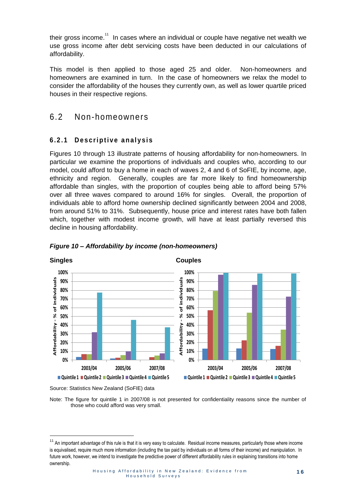their gross income.<sup>11</sup> In cases where an individual or couple have negative net wealth we use gross income after debt servicing costs have been deducted in our calculations of affordability.

This model is then applied to those aged 25 and older. Non-homeowners and homeowners are examined in turn. In the case of homeowners we relax the model to consider the affordability of the houses they currently own, as well as lower quartile priced houses in their respective regions.

### 6.2 Non-homeowners

### **6 . 2 . 1 D e s c r i p t i v e a n a l y s i s**

Figures 10 through 13 illustrate patterns of housing affordability for non-homeowners. In particular we examine the proportions of individuals and couples who, according to our model, could afford to buy a home in each of waves 2, 4 and 6 of SoFIE, by income, age, ethnicity and region. Generally, couples are far more likely to find homeownership affordable than singles, with the proportion of couples being able to afford being 57% over all three waves compared to around 16% for singles. Overall, the proportion of individuals able to afford home ownership declined significantly between 2004 and 2008, from around 51% to 31%. Subsequently, house price and interest rates have both fallen which, together with modest income growth, will have at least partially reversed this decline in housing affordability.



#### <span id="page-19-0"></span>*Figure 10 – Affordability by income (non-homeowners)*

.

Source: Statistics New Zealand (SoFIE) data

Note: The figure for quintile 1 in 2007/08 is not presented for confidentiality reasons since the number of those who could afford was very small.

<sup>&</sup>lt;sup>11</sup> An important advantage of this rule is that it is very easy to calculate. Residual income measures, particularly those where income is equivalised, require much more information (including the tax paid by individuals on all forms of their income) and manipulation. In future work, however, we intend to investigate the predictive power of different affordability rules in explaining transitions into home ownership.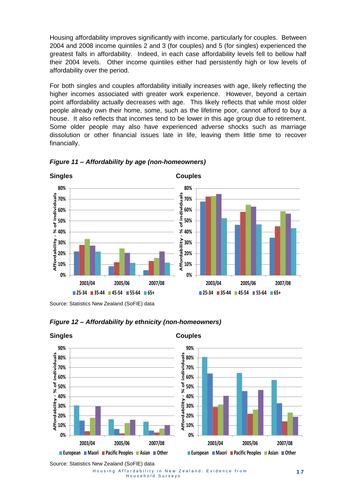Housing affordability improves significantly with income, particularly for couples. Between 2004 and 2008 income quintiles 2 and 3 (for couples) and 5 (for singles) experienced the greatest falls in affordability. Indeed, in each case affordability levels fell to bellow half their 2004 levels. Other income quintiles either had persistently high or low levels of affordability over the period.

For both singles and couples affordability initially increases with age, likely reflecting the higher incomes associated with greater work experience. However, beyond a certain point affordability actually decreases with age. This likely reflects that while most older people already own their home, some, such as the lifetime poor, cannot afford to buy a house. It also reflects that incomes tend to be lower in this age group due to retirement. Some older people may also have experienced adverse shocks such as marriage dissolution or other financial issues late in life, leaving them little time to recover financially.



#### <span id="page-20-0"></span>*Figure 11 – Affordability by age (non-homeowners)*

Source: Statistics New Zealand (SoFIE) data



### <span id="page-20-1"></span>*Figure 12 – Affordability by ethnicity (non-homeowners)*

Source: Statistics New Zealand (SoFIE) data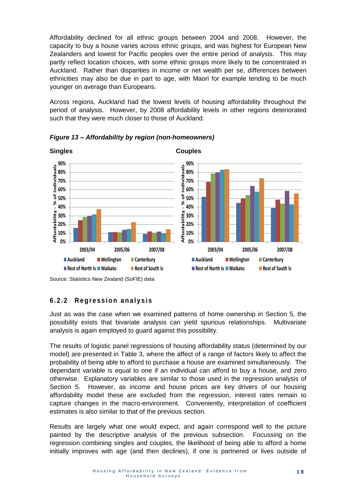Affordability declined for all ethnic groups between 2004 and 2008. However, the capacity to buy a house varies across ethnic groups, and was highest for European New Zealanders and lowest for Pacific peoples over the entire period of analysis. This may partly reflect location choices, with some ethnic groups more likely to be concentrated in Auckland. Rather than disparities in income or net wealth per se, differences between ethnicities may also be due in part to age, with Maori for example tending to be much younger on average than Europeans.

Across regions, Auckland had the lowest levels of housing affordability throughout the period of analysis. However, by 2008 affordability levels in other regions deteriorated such that they were much closer to those of Auckland.



<span id="page-21-0"></span>*Figure 13 – Affordability by region (non-homeowners)*

### **6 . 2 . 2 R e g r e s s i o n a n a l y s i s**

Just as was the case when we examined patterns of home ownership in Section 5, the possibility exists that bivariate analysis can yield spurious relationships. Multivariate analysis is again employed to guard against this possibility.

The results of logistic panel regressions of housing affordability status (determined by our model) are presented in Table 3, where the affect of a range of factors likely to affect the probability of being able to afford to purchase a house are examined simultaneously. The dependant variable is equal to one if an individual can afford to buy a house, and zero otherwise. Explanatory variables are similar to those used in the regression analysis of Section 5. However, as income and house prices are key drivers of our housing affordability model these are excluded from the regression, interest rates remain to capture changes in the macro-environment. Conveniently, interpretation of coefficient estimates is also similar to that of the previous section.

Results are largely what one would expect, and again correspond well to the picture painted by the descriptive analysis of the previous subsection. Focussing on the regression combining singles and couples, the likelihood of being able to afford a home initially improves with age (and then declines), if one is partnered or lives outside of

Source: Statistics New Zealand (SoFIE) data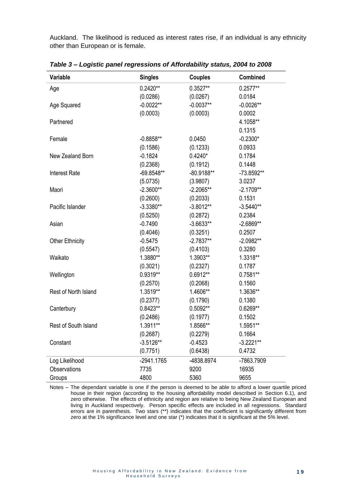Auckland. The likelihood is reduced as interest rates rise, if an individual is any ethnicity other than European or is female.

| Variable               | <b>Singles</b> | <b>Couples</b> | Combined    |
|------------------------|----------------|----------------|-------------|
| Age                    | $0.2420**$     | $0.3527**$     | $0.2577**$  |
|                        | (0.0286)       | (0.0267)       | 0.0184      |
| Age Squared            | $-0.0022**$    | $-0.0037**$    | $-0.0026**$ |
|                        | (0.0003)       | (0.0003)       | 0.0002      |
| Partnered              |                |                | 4.1058**    |
|                        |                |                | 0.1315      |
| Female                 | $-0.8858**$    | 0.0450         | $-0.2300*$  |
|                        | (0.1586)       | (0.1233)       | 0.0933      |
| New Zealand Born       | $-0.1824$      | $0.4240*$      | 0.1784      |
|                        | (0.2368)       | (0.1912)       | 0.1448      |
| <b>Interest Rate</b>   | $-69.8548**$   | $-80.9188**$   | -73.8592**  |
|                        | (5.0735)       | (3.9807)       | 3.0237      |
| Maori                  | $-2.3600**$    | $-2.2065**$    | $-2.1709**$ |
|                        | (0.2600)       | (0.2033)       | 0.1531      |
| Pacific Islander       | $-3.3380**$    | $-3.8012**$    | $-3.5440**$ |
|                        | (0.5250)       | (0.2872)       | 0.2384      |
| Asian                  | $-0.7490$      | $-3.6633**$    | $-2.6869**$ |
|                        | (0.4046)       | (0.3251)       | 0.2507      |
| <b>Other Ethnicity</b> | $-0.5475$      | $-2.7837**$    | $-2.0982**$ |
|                        | (0.5547)       | (0.4103)       | 0.3280      |
| Waikato                | 1.3880**       | 1.3903**       | 1.3318**    |
|                        | (0.3021)       | (0.2327)       | 0.1787      |
| Wellington             | 0.9319**       | 0.6912**       | $0.7581**$  |
|                        | (0.2570)       | (0.2068)       | 0.1560      |
| Rest of North Island   | 1.3519**       | 1.4606**       | 1.3636**    |
|                        | (0.2377)       | (0.1790)       | 0.1380      |
| Canterbury             | 0.8423**       | 0.5092**       | 0.6269**    |
|                        | (0.2486)       | (0.1977)       | 0.1502      |
| Rest of South Island   | 1.3911**       | 1.8566**       | 1.5951**    |
|                        | (0.2687)       | (0.2279)       | 0.1664      |
| Constant               | $-3.5126**$    | $-0.4523$      | $-3.2221**$ |
|                        | (0.7751)       | (0.6438)       | 0.4732      |
| Log Likelihood         | $-2941.1765$   | -4838.8974     | -7863.7909  |
| Observations           | 7735           | 9200           | 16935       |
| Groups                 | 4800           | 5360           | 9655        |

<span id="page-22-0"></span>*Table 3 – Logistic panel regressions of Affordability status, 2004 to 2008*

Notes – The dependant variable is one if the person is deemed to be able to afford a lower quartile priced house in their region (according to the housing affordability model described in Section 6.1), and zero otherwise. The effects of ethnicity and region are relative to being New Zealand European and living in Auckland respectively. Person specific effects are included in all regressions. Standard errors are in parenthesis. Two stars (\*\*) indicates that the coefficient is significantly different from zero at the 1% significance level and one star (\*) indicates that it is significant at the 5% level.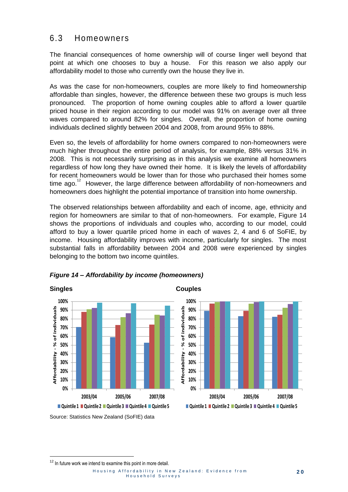### 6.3 Homeowners

The financial consequences of home ownership will of course linger well beyond that point at which one chooses to buy a house. For this reason we also apply our affordability model to those who currently own the house they live in.

As was the case for non-homeowners, couples are more likely to find homeownership affordable than singles, however, the difference between these two groups is much less pronounced. The proportion of home owning couples able to afford a lower quartile priced house in their region according to our model was 91% on average over all three waves compared to around 82% for singles. Overall, the proportion of home owning individuals declined slightly between 2004 and 2008, from around 95% to 88%.

Even so, the levels of affordability for home owners compared to non-homeowners were much higher throughout the entire period of analysis, for example, 88% versus 31% in 2008. This is not necessarily surprising as in this analysis we examine all homeowners regardless of how long they have owned their home. It is likely the levels of affordability for recent homeowners would be lower than for those who purchased their homes some time ago. $12$  However, the large difference between affordability of non-homeowners and homeowners does highlight the potential importance of transition into home ownership.

The observed relationships between affordability and each of income, age, ethnicity and region for homeowners are similar to that of non-homeowners. For example, Figure 14 shows the proportions of individuals and couples who, according to our model, could afford to buy a lower quartile priced home in each of waves 2, 4 and 6 of SoFIE, by income. Housing affordability improves with income, particularly for singles. The most substantial falls in affordability between 2004 and 2008 were experienced by singles belonging to the bottom two income quintiles.



### <span id="page-23-0"></span>*Figure 14 – Affordability by income (homeowners)*



Source: Statistics New Zealand (SoFIE) data

.

 $12$  In future work we intend to examine this point in more detail.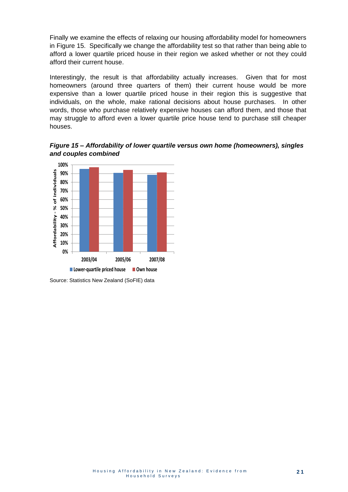Finally we examine the effects of relaxing our housing affordability model for homeowners in Figure 15. Specifically we change the affordability test so that rather than being able to afford a lower quartile priced house in their region we asked whether or not they could afford their current house.

Interestingly, the result is that affordability actually increases. Given that for most homeowners (around three quarters of them) their current house would be more expensive than a lower quartile priced house in their region this is suggestive that individuals, on the whole, make rational decisions about house purchases. In other words, those who purchase relatively expensive houses can afford them, and those that may struggle to afford even a lower quartile price house tend to purchase still cheaper houses.

<span id="page-24-0"></span>*Figure 15 – Affordability of lower quartile versus own home (homeowners), singles and couples combined*



Source: Statistics New Zealand (SoFIE) data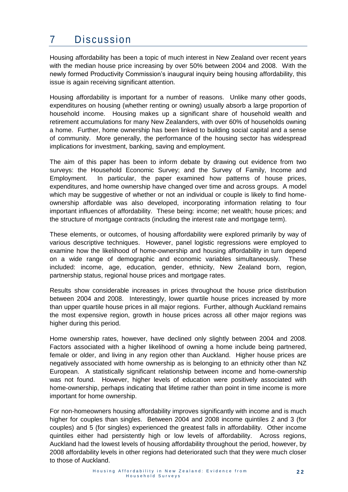## 7 Discussion

Housing affordability has been a topic of much interest in New Zealand over recent years with the median house price increasing by over 50% between 2004 and 2008. With the newly formed Productivity Commission's inaugural inquiry being housing affordability, this issue is again receiving significant attention.

Housing affordability is important for a number of reasons. Unlike many other goods, expenditures on housing (whether renting or owning) usually absorb a large proportion of household income. Housing makes up a significant share of household wealth and retirement accumulations for many New Zealanders, with over 60% of households owning a home. Further, home ownership has been linked to building social capital and a sense of community. More generally, the performance of the housing sector has widespread implications for investment, banking, saving and employment.

The aim of this paper has been to inform debate by drawing out evidence from two surveys: the Household Economic Survey; and the Survey of Family, Income and Employment. In particular, the paper examined how patterns of house prices, expenditures, and home ownership have changed over time and across groups. A model which may be suggestive of whether or not an individual or couple is likely to find homeownership affordable was also developed, incorporating information relating to four important influences of affordability. These being: income; net wealth; house prices; and the structure of mortgage contracts (including the interest rate and mortgage term).

These elements, or outcomes, of housing affordability were explored primarily by way of various descriptive techniques. However, panel logistic regressions were employed to examine how the likelihood of home-ownership and housing affordability in turn depend on a wide range of demographic and economic variables simultaneously. These included: income, age, education, gender, ethnicity, New Zealand born, region, partnership status, regional house prices and mortgage rates.

Results show considerable increases in prices throughout the house price distribution between 2004 and 2008. Interestingly, lower quartile house prices increased by more than upper quartile house prices in all major regions. Further, although Auckland remains the most expensive region, growth in house prices across all other major regions was higher during this period.

Home ownership rates, however, have declined only slightly between 2004 and 2008. Factors associated with a higher likelihood of owning a home include being partnered, female or older, and living in any region other than Auckland. Higher house prices are negatively associated with home ownership as is belonging to an ethnicity other than NZ European. A statistically significant relationship between income and home-ownership was not found. However, higher levels of education were positively associated with home-ownership, perhaps indicating that lifetime rather than point in time income is more important for home ownership.

For non-homeowners housing affordability improves significantly with income and is much higher for couples than singles. Between 2004 and 2008 income quintiles 2 and 3 (for couples) and 5 (for singles) experienced the greatest falls in affordability. Other income quintiles either had persistently high or low levels of affordability. Across regions, Auckland had the lowest levels of housing affordability throughout the period, however, by 2008 affordability levels in other regions had deteriorated such that they were much closer to those of Auckland.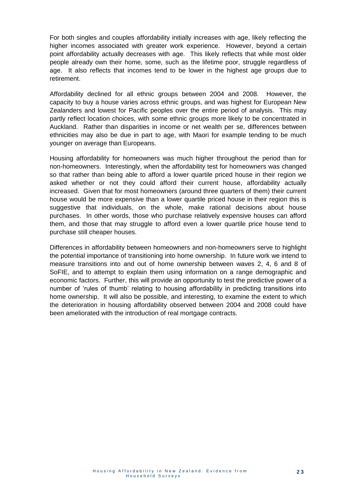For both singles and couples affordability initially increases with age, likely reflecting the higher incomes associated with greater work experience. However, beyond a certain point affordability actually decreases with age. This likely reflects that while most older people already own their home, some, such as the lifetime poor, struggle regardless of age. It also reflects that incomes tend to be lower in the highest age groups due to retirement.

Affordability declined for all ethnic groups between 2004 and 2008. However, the capacity to buy a house varies across ethnic groups, and was highest for European New Zealanders and lowest for Pacific peoples over the entire period of analysis. This may partly reflect location choices, with some ethnic groups more likely to be concentrated in Auckland. Rather than disparities in income or net wealth per se, differences between ethnicities may also be due in part to age, with Maori for example tending to be much younger on average than Europeans.

Housing affordability for homeowners was much higher throughout the period than for non-homeowners. Interestingly, when the affordability test for homeowners was changed so that rather than being able to afford a lower quartile priced house in their region we asked whether or not they could afford their current house, affordability actually increased. Given that for most homeowners (around three quarters of them) their current house would be more expensive than a lower quartile priced house in their region this is suggestive that individuals, on the whole, make rational decisions about house purchases. In other words, those who purchase relatively expensive houses can afford them, and those that may struggle to afford even a lower quartile price house tend to purchase still cheaper houses.

Differences in affordability between homeowners and non-homeowners serve to highlight the potential importance of transitioning into home ownership. In future work we intend to measure transitions into and out of home ownership between waves 2, 4, 6 and 8 of SoFIE, and to attempt to explain them using information on a range demographic and economic factors. Further, this will provide an opportunity to test the predictive power of a number of 'rules of thumb' relating to housing affordability in predicting transitions into home ownership. It will also be possible, and interesting, to examine the extent to which the deterioration in housing affordability observed between 2004 and 2008 could have been ameliorated with the introduction of real mortgage contracts.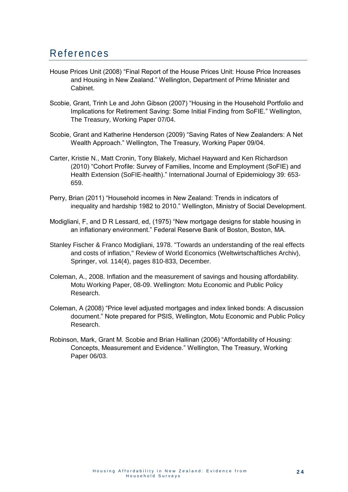### References

- House Prices Unit (2008) "Final Report of the House Prices Unit: House Price Increases and Housing in New Zealand." Wellington, Department of Prime Minister and Cabinet.
- Scobie, Grant, Trinh Le and John Gibson (2007) "Housing in the Household Portfolio and Implications for Retirement Saving: Some Initial Finding from SoFIE." Wellington, The Treasury, Working Paper 07/04.
- Scobie, Grant and Katherine Henderson (2009) "Saving Rates of New Zealanders: A Net Wealth Approach." Wellington, The Treasury, Working Paper 09/04.
- Carter, Kristie N., Matt Cronin, Tony Blakely, Michael Hayward and Ken Richardson (2010) "Cohort Profile: Survey of Families, Income and Employment (SoFIE) and Health Extension (SoFIE-health)." International Journal of Epidemiology 39: 653- 659.
- Perry, Brian (2011) "Household incomes in New Zealand: Trends in indicators of inequality and hardship 1982 to 2010." Wellington, Ministry of Social Development.
- Modigliani, F, and D R Lessard, ed, (1975) "New mortgage designs for stable housing in an inflationary environment." Federal Reserve Bank of Boston, Boston, MA.
- Stanley Fischer & Franco Modigliani, 1978. "Towards an understanding of the real effects and costs of inflation," Review of World Economics (Weltwirtschaftliches Archiv), Springer, vol. 114(4), pages 810-833, December.
- Coleman, A., 2008. Inflation and the measurement of savings and housing affordability. Motu Working Paper, 08-09. Wellington: Motu Economic and Public Policy Research.
- Coleman, A (2008) "Price level adjusted mortgages and index linked bonds: A discussion document." Note prepared for PSIS, Wellington, Motu Economic and Public Policy Research.
- Robinson, Mark, Grant M. Scobie and Brian Hallinan (2006) "Affordability of Housing: Concepts, Measurement and Evidence." Wellington, The Treasury, Working Paper 06/03.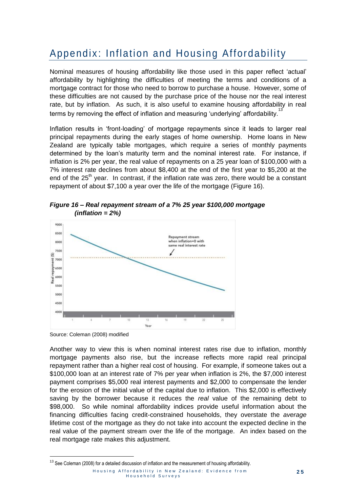## Appendix: Inflation and Housing Affordability

Nominal measures of housing affordability like those used in this paper reflect 'actual' affordability by highlighting the difficulties of meeting the terms and conditions of a mortgage contract for those who need to borrow to purchase a house. However, some of these difficulties are not caused by the purchase price of the house nor the real interest rate, but by inflation. As such, it is also useful to examine housing affordability in real terms by removing the effect of inflation and measuring 'underlying' affordability.<sup>13</sup>

Inflation results in 'front-loading' of mortgage repayments since it leads to larger real principal repayments during the early stages of home ownership. Home loans in New Zealand are typically table mortgages, which require a series of monthly payments determined by the loan's maturity term and the nominal interest rate. For instance, if inflation is 2% per year, the real value of repayments on a 25 year loan of \$100,000 with a 7% interest rate declines from about \$8,400 at the end of the first year to \$5,200 at the end of the  $25<sup>th</sup>$  year. In contrast, if the inflation rate was zero, there would be a constant repayment of about \$7,100 a year over the life of the mortgage (Figure 16).



<span id="page-28-0"></span>*Figure 16 – Real repayment stream of a 7% 25 year \$100,000 mortgage (inflation = 2%)*

Source: Coleman (2008) modified

.

Another way to view this is when nominal interest rates rise due to inflation, monthly mortgage payments also rise, but the increase reflects more rapid real principal repayment rather than a higher real cost of housing. For example, if someone takes out a \$100,000 loan at an interest rate of 7% per year when inflation is 2%, the \$7,000 interest payment comprises \$5,000 real interest payments and \$2,000 to compensate the lender for the erosion of the initial value of the capital due to inflation. This \$2,000 is effectively saving by the borrower because it reduces the *real* value of the remaining debt to \$98,000. So while nominal affordability indices provide useful information about the financing difficulties facing credit-constrained households, they overstate the *average* lifetime cost of the mortgage as they do not take into account the expected decline in the real value of the payment stream over the life of the mortgage. An index based on the real mortgage rate makes this adjustment.

 $13$  See Coleman (2008) for a detailed discussion of inflation and the measurement of housing affordability.